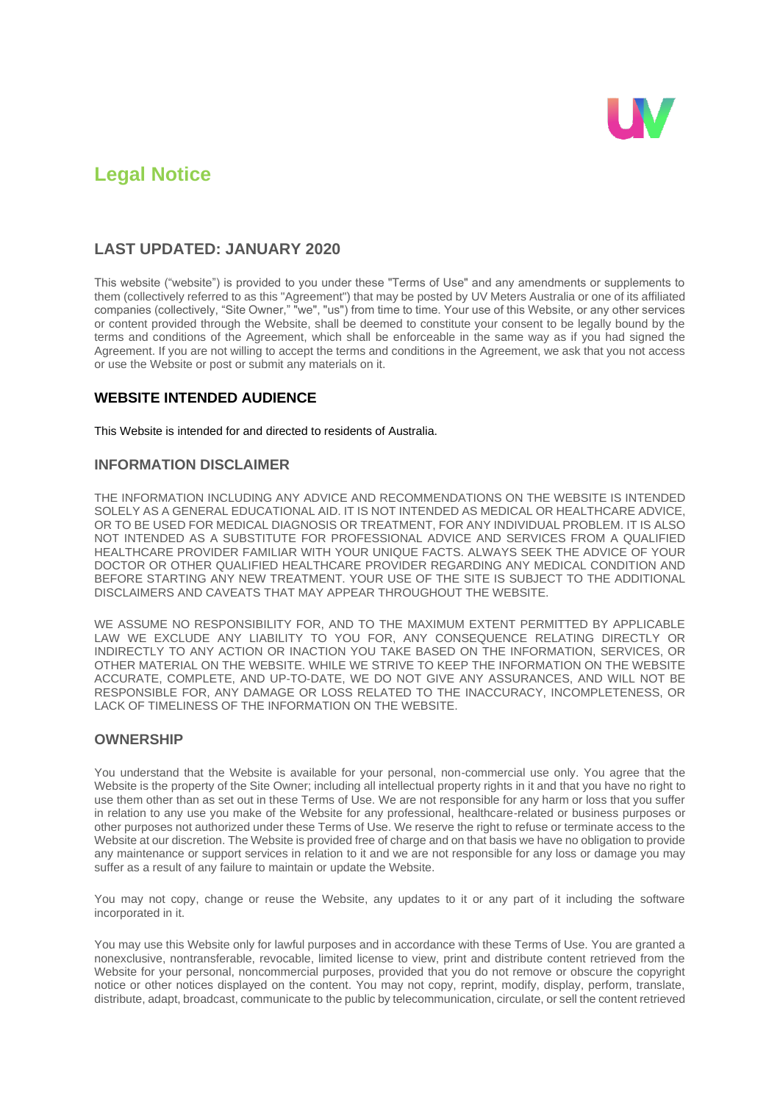

# **Legal Notice**

# **LAST UPDATED: JANUARY 2020**

This website ("website") is provided to you under these "Terms of Use" and any amendments or supplements to them (collectively referred to as this "Agreement") that may be posted by UV Meters Australia or one of its affiliated companies (collectively, "Site Owner," "we", "us") from time to time. Your use of this Website, or any other services or content provided through the Website, shall be deemed to constitute your consent to be legally bound by the terms and conditions of the Agreement, which shall be enforceable in the same way as if you had signed the Agreement. If you are not willing to accept the terms and conditions in the Agreement, we ask that you not access or use the Website or post or submit any materials on it.

#### **WEBSITE INTENDED AUDIENCE**

This Website is intended for and directed to residents of Australia.

#### **INFORMATION DISCLAIMER**

THE INFORMATION INCLUDING ANY ADVICE AND RECOMMENDATIONS ON THE WEBSITE IS INTENDED SOLELY AS A GENERAL EDUCATIONAL AID. IT IS NOT INTENDED AS MEDICAL OR HEALTHCARE ADVICE, OR TO BE USED FOR MEDICAL DIAGNOSIS OR TREATMENT, FOR ANY INDIVIDUAL PROBLEM. IT IS ALSO NOT INTENDED AS A SUBSTITUTE FOR PROFESSIONAL ADVICE AND SERVICES FROM A QUALIFIED HEALTHCARE PROVIDER FAMILIAR WITH YOUR UNIQUE FACTS. ALWAYS SEEK THE ADVICE OF YOUR DOCTOR OR OTHER QUALIFIED HEALTHCARE PROVIDER REGARDING ANY MEDICAL CONDITION AND BEFORE STARTING ANY NEW TREATMENT. YOUR USE OF THE SITE IS SUBJECT TO THE ADDITIONAL DISCLAIMERS AND CAVEATS THAT MAY APPEAR THROUGHOUT THE WEBSITE.

WE ASSUME NO RESPONSIBILITY FOR, AND TO THE MAXIMUM EXTENT PERMITTED BY APPLICABLE LAW WE EXCLUDE ANY LIABILITY TO YOU FOR, ANY CONSEQUENCE RELATING DIRECTLY OR INDIRECTLY TO ANY ACTION OR INACTION YOU TAKE BASED ON THE INFORMATION, SERVICES, OR OTHER MATERIAL ON THE WEBSITE. WHILE WE STRIVE TO KEEP THE INFORMATION ON THE WEBSITE ACCURATE, COMPLETE, AND UP-TO-DATE, WE DO NOT GIVE ANY ASSURANCES, AND WILL NOT BE RESPONSIBLE FOR, ANY DAMAGE OR LOSS RELATED TO THE INACCURACY, INCOMPLETENESS, OR LACK OF TIMELINESS OF THE INFORMATION ON THE WEBSITE.

#### **OWNERSHIP**

You understand that the Website is available for your personal, non-commercial use only. You agree that the Website is the property of the Site Owner; including all intellectual property rights in it and that you have no right to use them other than as set out in these Terms of Use. We are not responsible for any harm or loss that you suffer in relation to any use you make of the Website for any professional, healthcare-related or business purposes or other purposes not authorized under these Terms of Use. We reserve the right to refuse or terminate access to the Website at our discretion. The Website is provided free of charge and on that basis we have no obligation to provide any maintenance or support services in relation to it and we are not responsible for any loss or damage you may suffer as a result of any failure to maintain or update the Website.

You may not copy, change or reuse the Website, any updates to it or any part of it including the software incorporated in it.

You may use this Website only for lawful purposes and in accordance with these Terms of Use. You are granted a nonexclusive, nontransferable, revocable, limited license to view, print and distribute content retrieved from the Website for your personal, noncommercial purposes, provided that you do not remove or obscure the copyright notice or other notices displayed on the content. You may not copy, reprint, modify, display, perform, translate, distribute, adapt, broadcast, communicate to the public by telecommunication, circulate, or sell the content retrieved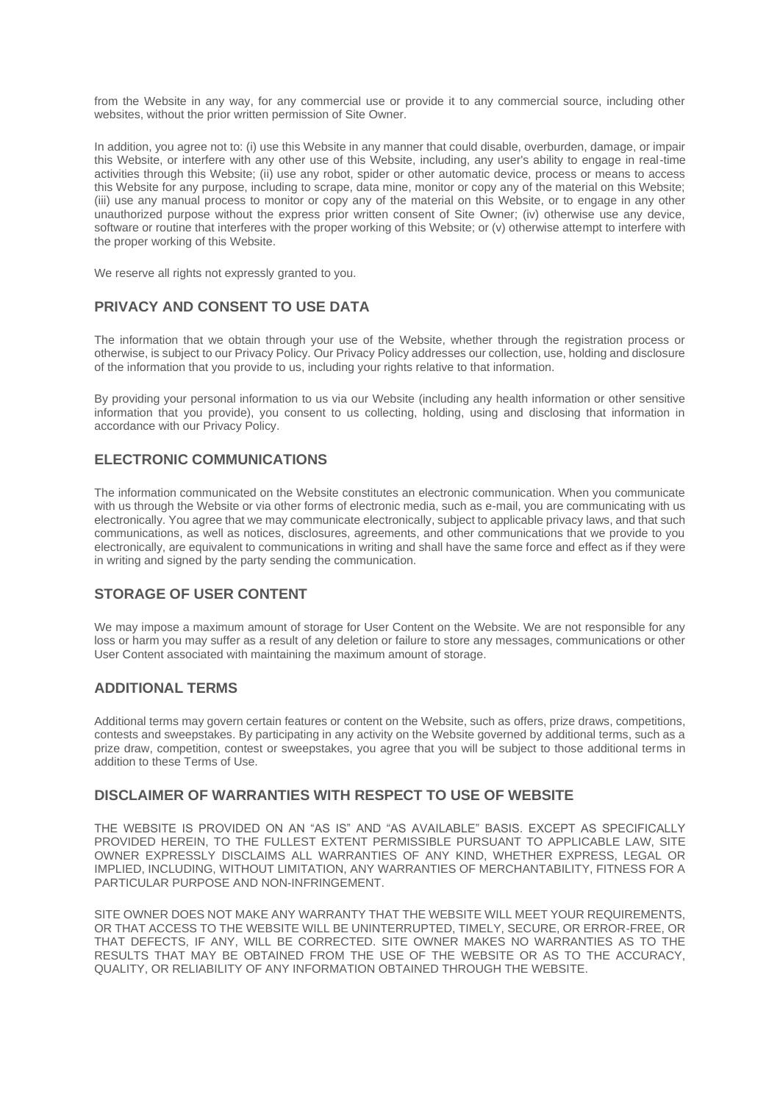from the Website in any way, for any commercial use or provide it to any commercial source, including other websites, without the prior written permission of Site Owner.

In addition, you agree not to: (i) use this Website in any manner that could disable, overburden, damage, or impair this Website, or interfere with any other use of this Website, including, any user's ability to engage in real-time activities through this Website; (ii) use any robot, spider or other automatic device, process or means to access this Website for any purpose, including to scrape, data mine, monitor or copy any of the material on this Website; (iii) use any manual process to monitor or copy any of the material on this Website, or to engage in any other unauthorized purpose without the express prior written consent of Site Owner; (iv) otherwise use any device, software or routine that interferes with the proper working of this Website; or (v) otherwise attempt to interfere with the proper working of this Website.

We reserve all rights not expressly granted to you.

# **PRIVACY AND CONSENT TO USE DATA**

The information that we obtain through your use of the Website, whether through the registration process or otherwise, is subject to our Privacy Policy. Our Privacy Policy addresses our collection, use, holding and disclosure of the information that you provide to us, including your rights relative to that information.

By providing your personal information to us via our Website (including any health information or other sensitive information that you provide), you consent to us collecting, holding, using and disclosing that information in accordance with our Privacy Policy.

# **ELECTRONIC COMMUNICATIONS**

The information communicated on the Website constitutes an electronic communication. When you communicate with us through the Website or via other forms of electronic media, such as e-mail, you are communicating with us electronically. You agree that we may communicate electronically, subject to applicable privacy laws, and that such communications, as well as notices, disclosures, agreements, and other communications that we provide to you electronically, are equivalent to communications in writing and shall have the same force and effect as if they were in writing and signed by the party sending the communication.

# **STORAGE OF USER CONTENT**

We may impose a maximum amount of storage for User Content on the Website. We are not responsible for any loss or harm you may suffer as a result of any deletion or failure to store any messages, communications or other User Content associated with maintaining the maximum amount of storage.

#### **ADDITIONAL TERMS**

Additional terms may govern certain features or content on the Website, such as offers, prize draws, competitions, contests and sweepstakes. By participating in any activity on the Website governed by additional terms, such as a prize draw, competition, contest or sweepstakes, you agree that you will be subject to those additional terms in addition to these Terms of Use.

#### **DISCLAIMER OF WARRANTIES WITH RESPECT TO USE OF WEBSITE**

THE WEBSITE IS PROVIDED ON AN "AS IS" AND "AS AVAILABLE" BASIS. EXCEPT AS SPECIFICALLY PROVIDED HEREIN, TO THE FULLEST EXTENT PERMISSIBLE PURSUANT TO APPLICABLE LAW, SITE OWNER EXPRESSLY DISCLAIMS ALL WARRANTIES OF ANY KIND, WHETHER EXPRESS, LEGAL OR IMPLIED, INCLUDING, WITHOUT LIMITATION, ANY WARRANTIES OF MERCHANTABILITY, FITNESS FOR A PARTICULAR PURPOSE AND NON-INFRINGEMENT.

SITE OWNER DOES NOT MAKE ANY WARRANTY THAT THE WEBSITE WILL MEET YOUR REQUIREMENTS, OR THAT ACCESS TO THE WEBSITE WILL BE UNINTERRUPTED, TIMELY, SECURE, OR ERROR-FREE, OR THAT DEFECTS, IF ANY, WILL BE CORRECTED. SITE OWNER MAKES NO WARRANTIES AS TO THE RESULTS THAT MAY BE OBTAINED FROM THE USE OF THE WEBSITE OR AS TO THE ACCURACY, QUALITY, OR RELIABILITY OF ANY INFORMATION OBTAINED THROUGH THE WEBSITE.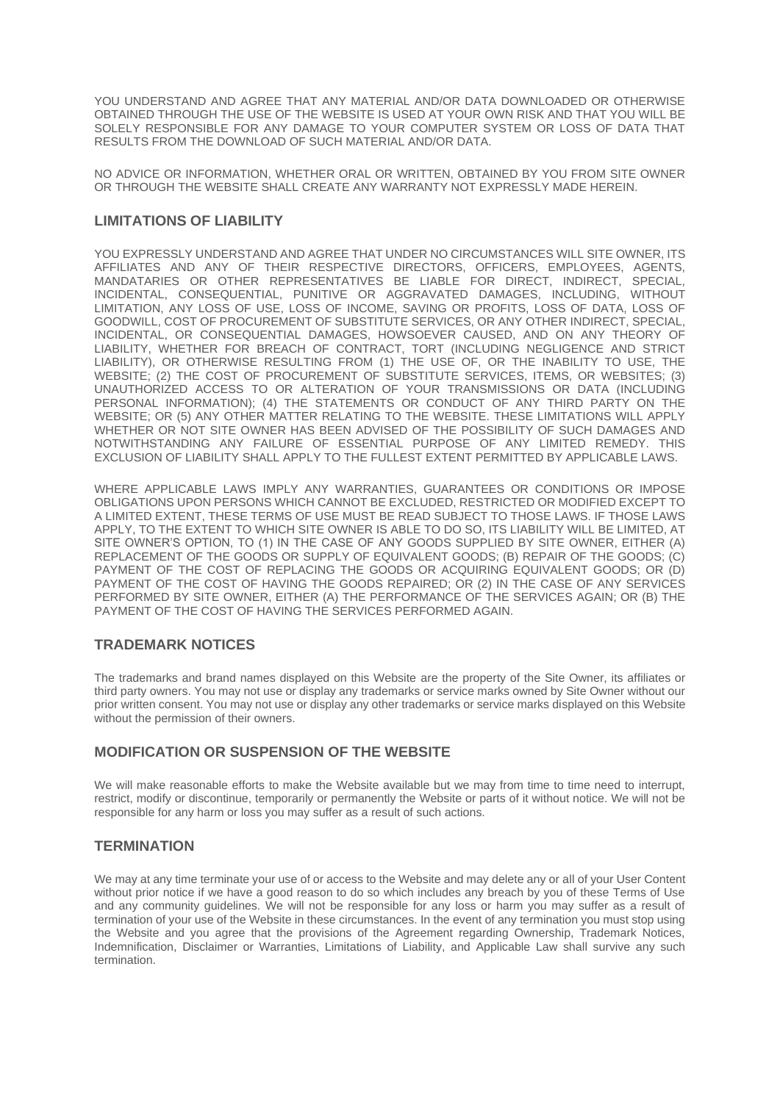YOU UNDERSTAND AND AGREE THAT ANY MATERIAL AND/OR DATA DOWNLOADED OR OTHERWISE OBTAINED THROUGH THE USE OF THE WEBSITE IS USED AT YOUR OWN RISK AND THAT YOU WILL BE SOLELY RESPONSIBLE FOR ANY DAMAGE TO YOUR COMPUTER SYSTEM OR LOSS OF DATA THAT RESULTS FROM THE DOWNLOAD OF SUCH MATERIAL AND/OR DATA.

NO ADVICE OR INFORMATION, WHETHER ORAL OR WRITTEN, OBTAINED BY YOU FROM SITE OWNER OR THROUGH THE WEBSITE SHALL CREATE ANY WARRANTY NOT EXPRESSLY MADE HEREIN.

#### **LIMITATIONS OF LIABILITY**

YOU EXPRESSLY UNDERSTAND AND AGREE THAT UNDER NO CIRCUMSTANCES WILL SITE OWNER, ITS AFFILIATES AND ANY OF THEIR RESPECTIVE DIRECTORS, OFFICERS, EMPLOYEES, AGENTS, MANDATARIES OR OTHER REPRESENTATIVES BE LIABLE FOR DIRECT, INDIRECT, SPECIAL, INCIDENTAL, CONSEQUENTIAL, PUNITIVE OR AGGRAVATED DAMAGES, INCLUDING, WITHOUT LIMITATION, ANY LOSS OF USE, LOSS OF INCOME, SAVING OR PROFITS, LOSS OF DATA, LOSS OF GOODWILL, COST OF PROCUREMENT OF SUBSTITUTE SERVICES, OR ANY OTHER INDIRECT, SPECIAL, INCIDENTAL, OR CONSEQUENTIAL DAMAGES, HOWSOEVER CAUSED, AND ON ANY THEORY OF LIABILITY, WHETHER FOR BREACH OF CONTRACT, TORT (INCLUDING NEGLIGENCE AND STRICT LIABILITY), OR OTHERWISE RESULTING FROM (1) THE USE OF, OR THE INABILITY TO USE, THE WEBSITE; (2) THE COST OF PROCUREMENT OF SUBSTITUTE SERVICES, ITEMS, OR WEBSITES; (3) UNAUTHORIZED ACCESS TO OR ALTERATION OF YOUR TRANSMISSIONS OR DATA (INCLUDING PERSONAL INFORMATION); (4) THE STATEMENTS OR CONDUCT OF ANY THIRD PARTY ON THE WEBSITE; OR (5) ANY OTHER MATTER RELATING TO THE WEBSITE. THESE LIMITATIONS WILL APPLY WHETHER OR NOT SITE OWNER HAS BEEN ADVISED OF THE POSSIBILITY OF SUCH DAMAGES AND NOTWITHSTANDING ANY FAILURE OF ESSENTIAL PURPOSE OF ANY LIMITED REMEDY. THIS EXCLUSION OF LIABILITY SHALL APPLY TO THE FULLEST EXTENT PERMITTED BY APPLICABLE LAWS.

WHERE APPLICABLE LAWS IMPLY ANY WARRANTIES, GUARANTEES OR CONDITIONS OR IMPOSE OBLIGATIONS UPON PERSONS WHICH CANNOT BE EXCLUDED, RESTRICTED OR MODIFIED EXCEPT TO A LIMITED EXTENT, THESE TERMS OF USE MUST BE READ SUBJECT TO THOSE LAWS. IF THOSE LAWS APPLY, TO THE EXTENT TO WHICH SITE OWNER IS ABLE TO DO SO, ITS LIABILITY WILL BE LIMITED, AT SITE OWNER'S OPTION, TO (1) IN THE CASE OF ANY GOODS SUPPLIED BY SITE OWNER, EITHER (A) REPLACEMENT OF THE GOODS OR SUPPLY OF EQUIVALENT GOODS; (B) REPAIR OF THE GOODS; (C) PAYMENT OF THE COST OF REPLACING THE GOODS OR ACQUIRING EQUIVALENT GOODS; OR (D) PAYMENT OF THE COST OF HAVING THE GOODS REPAIRED; OR (2) IN THE CASE OF ANY SERVICES PERFORMED BY SITE OWNER, EITHER (A) THE PERFORMANCE OF THE SERVICES AGAIN; OR (B) THE PAYMENT OF THE COST OF HAVING THE SERVICES PERFORMED AGAIN.

#### **TRADEMARK NOTICES**

The trademarks and brand names displayed on this Website are the property of the Site Owner, its affiliates or third party owners. You may not use or display any trademarks or service marks owned by Site Owner without our prior written consent. You may not use or display any other trademarks or service marks displayed on this Website without the permission of their owners.

### **MODIFICATION OR SUSPENSION OF THE WEBSITE**

We will make reasonable efforts to make the Website available but we may from time to time need to interrupt, restrict, modify or discontinue, temporarily or permanently the Website or parts of it without notice. We will not be responsible for any harm or loss you may suffer as a result of such actions.

#### **TERMINATION**

We may at any time terminate your use of or access to the Website and may delete any or all of your User Content without prior notice if we have a good reason to do so which includes any breach by you of these Terms of Use and any community guidelines. We will not be responsible for any loss or harm you may suffer as a result of termination of your use of the Website in these circumstances. In the event of any termination you must stop using the Website and you agree that the provisions of the Agreement regarding Ownership, Trademark Notices, Indemnification, Disclaimer or Warranties, Limitations of Liability, and Applicable Law shall survive any such termination.